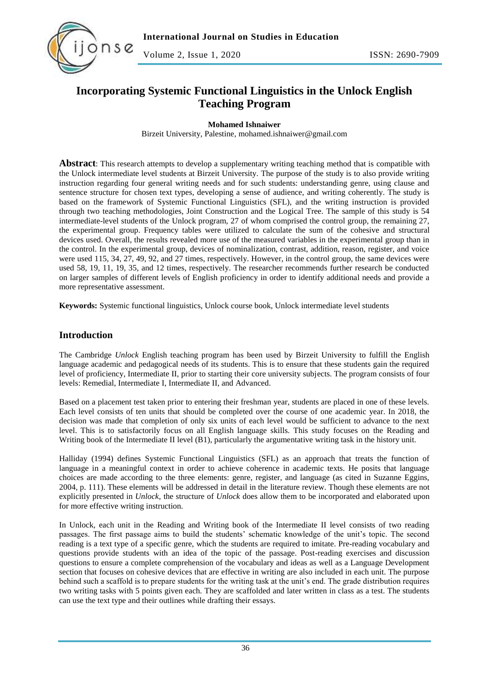

# **Incorporating Systemic Functional Linguistics in the Unlock English Teaching Program**

### **Mohamed Ishnaiwer**

Birzeit University, Palestine, mohamed.ishnaiwer@gmail.com

**Abstract**: This research attempts to develop a supplementary writing teaching method that is compatible with the Unlock intermediate level students at Birzeit University. The purpose of the study is to also provide writing instruction regarding four general writing needs and for such students: understanding genre, using clause and sentence structure for chosen text types, developing a sense of audience, and writing coherently. The study is based on the framework of Systemic Functional Linguistics (SFL), and the writing instruction is provided through two teaching methodologies, Joint Construction and the Logical Tree. The sample of this study is 54 intermediate-level students of the Unlock program, 27 of whom comprised the control group, the remaining 27, the experimental group. Frequency tables were utilized to calculate the sum of the cohesive and structural devices used. Overall, the results revealed more use of the measured variables in the experimental group than in the control. In the experimental group, devices of nominalization, contrast, addition, reason, register, and voice were used 115, 34, 27, 49, 92, and 27 times, respectively. However, in the control group, the same devices were used 58, 19, 11, 19, 35, and 12 times, respectively. The researcher recommends further research be conducted on larger samples of different levels of English proficiency in order to identify additional needs and provide a more representative assessment.

**Keywords:** Systemic functional linguistics, Unlock course book, Unlock intermediate level students

### **Introduction**

The Cambridge *Unlock* English teaching program has been used by Birzeit University to fulfill the English language academic and pedagogical needs of its students. This is to ensure that these students gain the required level of proficiency, Intermediate II, prior to starting their core university subjects. The program consists of four levels: Remedial, Intermediate I, Intermediate II, and Advanced.

Based on a placement test taken prior to entering their freshman year, students are placed in one of these levels. Each level consists of ten units that should be completed over the course of one academic year. In 2018, the decision was made that completion of only six units of each level would be sufficient to advance to the next level. This is to satisfactorily focus on all English language skills. This study focuses on the Reading and Writing book of the Intermediate II level (B1), particularly the argumentative writing task in the history unit.

Halliday (1994) defines Systemic Functional Linguistics (SFL) as an approach that treats the function of language in a meaningful context in order to achieve coherence in academic texts. He posits that language choices are made according to the three elements: genre, register, and language (as cited in Suzanne Eggins, 2004, p. 111). These elements will be addressed in detail in the literature review. Though these elements are not explicitly presented in *Unlock*, the structure of *Unlock* does allow them to be incorporated and elaborated upon for more effective writing instruction.

In Unlock, each unit in the Reading and Writing book of the Intermediate II level consists of two reading passages. The first passage aims to build the students' schematic knowledge of the unit's topic. The second reading is a text type of a specific genre, which the students are required to imitate. Pre-reading vocabulary and questions provide students with an idea of the topic of the passage. Post-reading exercises and discussion questions to ensure a complete comprehension of the vocabulary and ideas as well as a Language Development section that focuses on cohesive devices that are effective in writing are also included in each unit. The purpose behind such a scaffold is to prepare students for the writing task at the unit's end. The grade distribution requires two writing tasks with 5 points given each. They are scaffolded and later written in class as a test. The students can use the text type and their outlines while drafting their essays.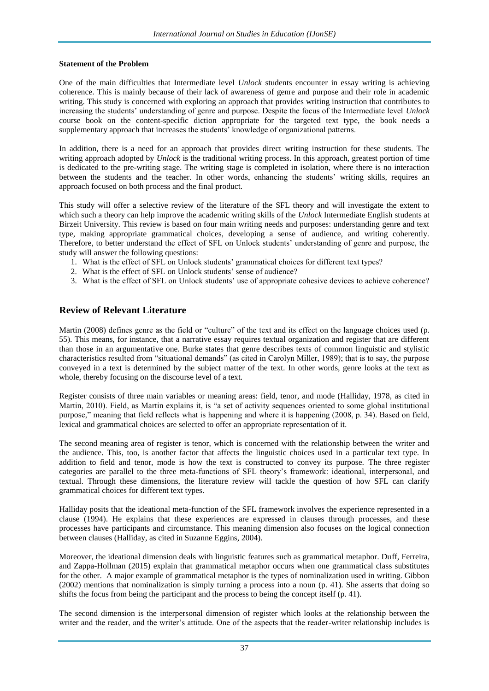#### **Statement of the Problem**

One of the main difficulties that Intermediate level *Unlock* students encounter in essay writing is achieving coherence. This is mainly because of their lack of awareness of genre and purpose and their role in academic writing. This study is concerned with exploring an approach that provides writing instruction that contributes to increasing the students' understanding of genre and purpose. Despite the focus of the Intermediate level *Unlock* course book on the content-specific diction appropriate for the targeted text type, the book needs a supplementary approach that increases the students' knowledge of organizational patterns.

In addition, there is a need for an approach that provides direct writing instruction for these students. The writing approach adopted by *Unlock* is the traditional writing process. In this approach, greatest portion of time is dedicated to the pre-writing stage. The writing stage is completed in isolation, where there is no interaction between the students and the teacher. In other words, enhancing the students' writing skills, requires an approach focused on both process and the final product.

This study will offer a selective review of the literature of the SFL theory and will investigate the extent to which such a theory can help improve the academic writing skills of the *Unlock* Intermediate English students at Birzeit University. This review is based on four main writing needs and purposes: understanding genre and text type, making appropriate grammatical choices, developing a sense of audience, and writing coherently. Therefore, to better understand the effect of SFL on Unlock students' understanding of genre and purpose, the study will answer the following questions:

- 1. What is the effect of SFL on Unlock students' grammatical choices for different text types?
- 2. What is the effect of SFL on Unlock students' sense of audience?
- 3. What is the effect of SFL on Unlock students' use of appropriate cohesive devices to achieve coherence?

### **Review of Relevant Literature**

Martin (2008) defines genre as the field or "culture" of the text and its effect on the language choices used (p. 55). This means, for instance, that a narrative essay requires textual organization and register that are different than those in an argumentative one. Burke states that genre describes texts of common linguistic and stylistic characteristics resulted from "situational demands" (as cited in Carolyn Miller, 1989); that is to say, the purpose conveyed in a text is determined by the subject matter of the text. In other words, genre looks at the text as whole, thereby focusing on the discourse level of a text.

Register consists of three main variables or meaning areas: field, tenor, and mode (Halliday, 1978, as cited in Martin, 2010). Field, as Martin explains it, is "a set of activity sequences oriented to some global institutional purpose," meaning that field reflects what is happening and where it is happening (2008, p. 34). Based on field, lexical and grammatical choices are selected to offer an appropriate representation of it.

The second meaning area of register is tenor, which is concerned with the relationship between the writer and the audience. This, too, is another factor that affects the linguistic choices used in a particular text type. In addition to field and tenor, mode is how the text is constructed to convey its purpose. The three register categories are parallel to the three meta-functions of SFL theory's framework: ideational, interpersonal, and textual. Through these dimensions, the literature review will tackle the question of how SFL can clarify grammatical choices for different text types.

Halliday posits that the ideational meta-function of the SFL framework involves the experience represented in a clause (1994). He explains that these experiences are expressed in clauses through processes, and these processes have participants and circumstance. This meaning dimension also focuses on the logical connection between clauses (Halliday, as cited in Suzanne Eggins, 2004).

Moreover, the ideational dimension deals with linguistic features such as grammatical metaphor. Duff, Ferreira, and Zappa-Hollman (2015) explain that grammatical metaphor occurs when one grammatical class substitutes for the other. A major example of grammatical metaphor is the types of nominalization used in writing. Gibbon (2002) mentions that nominalization is simply turning a process into a noun (p. 41). She asserts that doing so shifts the focus from being the participant and the process to being the concept itself (p. 41).

The second dimension is the interpersonal dimension of register which looks at the relationship between the writer and the reader, and the writer's attitude. One of the aspects that the reader-writer relationship includes is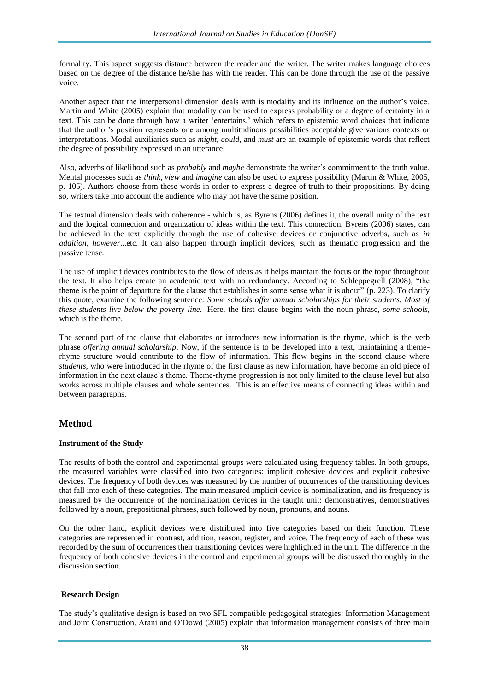formality. This aspect suggests distance between the reader and the writer. The writer makes language choices based on the degree of the distance he/she has with the reader. This can be done through the use of the passive voice.

Another aspect that the interpersonal dimension deals with is modality and its influence on the author's voice. Martin and White (2005) explain that modality can be used to express probability or a degree of certainty in a text. This can be done through how a writer 'entertains,' which refers to epistemic word choices that indicate that the author's position represents one among multitudinous possibilities acceptable give various contexts or interpretations. Modal auxiliaries such as *might, could*, and *must* are an example of epistemic words that reflect the degree of possibility expressed in an utterance.

Also, adverbs of likelihood such as *probably* and *maybe* demonstrate the writer's commitment to the truth value. Mental processes such as *think*, *view* and *imagine* can also be used to express possibility (Martin & White, 2005, p. 105). Authors choose from these words in order to express a degree of truth to their propositions. By doing so, writers take into account the audience who may not have the same position.

The textual dimension deals with coherence - which is, as Byrens (2006) defines it, the overall unity of the text and the logical connection and organization of ideas within the text. This connection, Byrens (2006) states, can be achieved in the text explicitly through the use of cohesive devices or conjunctive adverbs, such as *in addition, however*...etc. It can also happen through implicit devices, such as thematic progression and the passive tense.

The use of implicit devices contributes to the flow of ideas as it helps maintain the focus or the topic throughout the text. It also helps create an academic text with no redundancy. According to Schleppegrell (2008), "the theme is the point of departure for the clause that establishes in some sense what it is about" (p. 223). To clarify this quote, examine the following sentence: *Some schools offer annual scholarships for their students. Most of these students live below the poverty line.* Here, the first clause begins with the noun phrase, *some schools,* which is the theme.

The second part of the clause that elaborates or introduces new information is the rhyme, which is the verb phrase *offering annual scholarship*. Now, if the sentence is to be developed into a text, maintaining a themerhyme structure would contribute to the flow of information. This flow begins in the second clause where *students,* who were introduced in the rhyme of the first clause as new information, have become an old piece of information in the next clause's theme. Theme-rhyme progression is not only limited to the clause level but also works across multiple clauses and whole sentences. This is an effective means of connecting ideas within and between paragraphs.

# **Method**

### **Instrument of the Study**

The results of both the control and experimental groups were calculated using frequency tables. In both groups, the measured variables were classified into two categories: implicit cohesive devices and explicit cohesive devices. The frequency of both devices was measured by the number of occurrences of the transitioning devices that fall into each of these categories. The main measured implicit device is nominalization, and its frequency is measured by the occurrence of the nominalization devices in the taught unit: demonstratives, demonstratives followed by a noun, prepositional phrases, such followed by noun, pronouns, and nouns.

On the other hand, explicit devices were distributed into five categories based on their function. These categories are represented in contrast, addition, reason, register, and voice. The frequency of each of these was recorded by the sum of occurrences their transitioning devices were highlighted in the unit. The difference in the frequency of both cohesive devices in the control and experimental groups will be discussed thoroughly in the discussion section.

### **Research Design**

The study's qualitative design is based on two SFL compatible pedagogical strategies: Information Management and Joint Construction. Arani and O'Dowd (2005) explain that information management consists of three main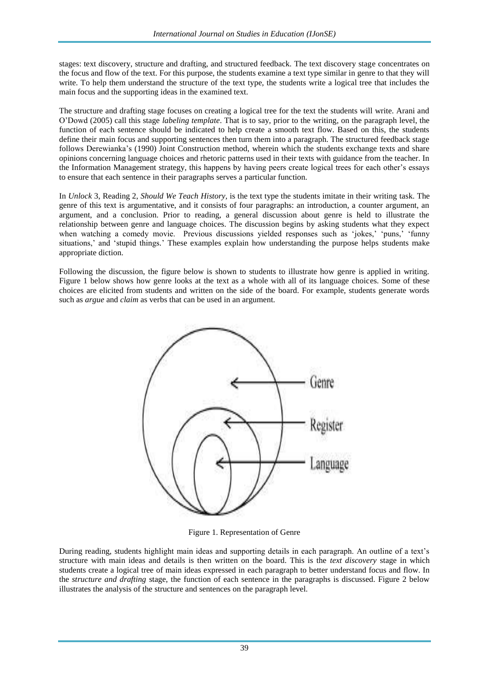stages: text discovery, structure and drafting, and structured feedback. The text discovery stage concentrates on the focus and flow of the text. For this purpose, the students examine a text type similar in genre to that they will write. To help them understand the structure of the text type, the students write a logical tree that includes the main focus and the supporting ideas in the examined text.

The structure and drafting stage focuses on creating a logical tree for the text the students will write. Arani and O'Dowd (2005) call this stage *labeling template*. That is to say, prior to the writing, on the paragraph level, the function of each sentence should be indicated to help create a smooth text flow. Based on this, the students define their main focus and supporting sentences then turn them into a paragraph. The structured feedback stage follows Derewianka's (1990) Joint Construction method, wherein which the students exchange texts and share opinions concerning language choices and rhetoric patterns used in their texts with guidance from the teacher. In the Information Management strategy, this happens by having peers create logical trees for each other's essays to ensure that each sentence in their paragraphs serves a particular function.

In *Unlock* 3, Reading 2, *Should We Teach History,* is the text type the students imitate in their writing task. The genre of this text is argumentative, and it consists of four paragraphs: an introduction, a counter argument, an argument, and a conclusion. Prior to reading, a general discussion about genre is held to illustrate the relationship between genre and language choices. The discussion begins by asking students what they expect when watching a comedy movie. Previous discussions yielded responses such as 'jokes,' 'puns,' 'funny situations,' and 'stupid things.' These examples explain how understanding the purpose helps students make appropriate diction.

Following the discussion, the figure below is shown to students to illustrate how genre is applied in writing. Figure 1 below shows how genre looks at the text as a whole with all of its language choices. Some of these choices are elicited from students and written on the side of the board. For example, students generate words such as *argue* and *claim* as verbs that can be used in an argument.



Figure 1. Representation of Genre

During reading, students highlight main ideas and supporting details in each paragraph. An outline of a text's structure with main ideas and details is then written on the board. This is the *text discovery* stage in which students create a logical tree of main ideas expressed in each paragraph to better understand focus and flow. In the *structure and drafting* stage, the function of each sentence in the paragraphs is discussed. Figure 2 below illustrates the analysis of the structure and sentences on the paragraph level.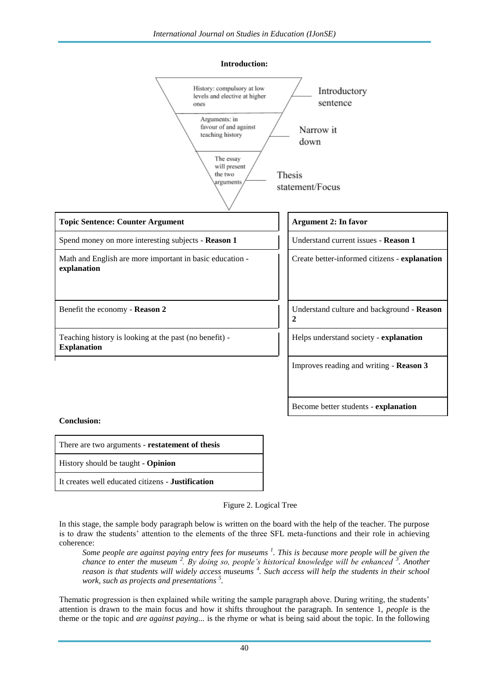**Introduction:**



**Conclusion:**

| There are two arguments - restatement of thesis   |
|---------------------------------------------------|
| History should be taught - <b>Opinion</b>         |
| It creates well educated citizens - Justification |

Figure 2. Logical Tree

In this stage, the sample body paragraph below is written on the board with the help of the teacher. The purpose is to draw the students' attention to the elements of the three SFL meta-functions and their role in achieving coherence:

*Some people are against paying entry fees for museums <sup>1</sup> . This is because more people will be given the chance to enter the museum <sup>2</sup> . By doing so, people's historical knowledge will be enhanced <sup>3</sup> . Another reason is that students will widely access museums <sup>4</sup> . Such access will help the students in their school work, such as projects and presentations <sup>5</sup> .* 

Thematic progression is then explained while writing the sample paragraph above. During writing, the students' attention is drawn to the main focus and how it shifts throughout the paragraph. In sentence 1, *people* is the theme or the topic and *are against paying...* is the rhyme or what is being said about the topic. In the following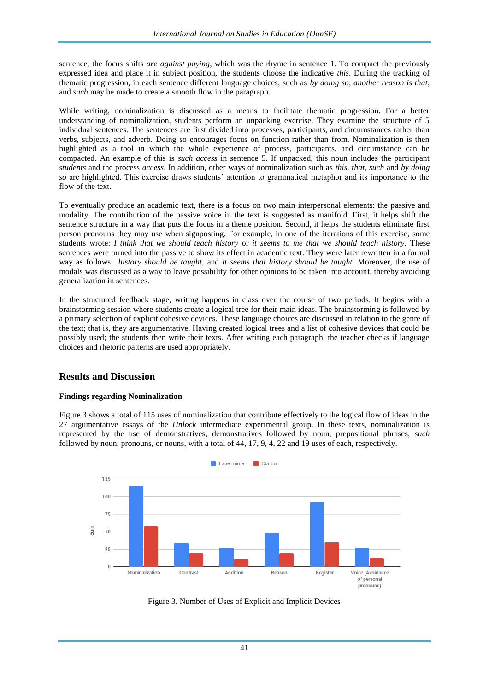sentence, the focus shifts *are against paying*, which was the rhyme in sentence 1. To compact the previously expressed idea and place it in subject position, the students choose the indicative *this*. During the tracking of thematic progression, in each sentence different language choices, such as *by doing so, another reason is that*, and *such* may be made to create a smooth flow in the paragraph.

While writing, nominalization is discussed as a means to facilitate thematic progression. For a better understanding of nominalization, students perform an unpacking exercise. They examine the structure of 5 individual sentences. The sentences are first divided into processes, participants, and circumstances rather than verbs, subjects, and adverb. Doing so encourages focus on function rather than from. Nominalization is then highlighted as a tool in which the whole experience of process, participants, and circumstance can be compacted. An example of this is *such access* in sentence 5. If unpacked, this noun includes the participant *students* and the process *access*. In addition, other ways of nominalization such as *this, that, such* and *by doing so* are highlighted. This exercise draws students' attention to grammatical metaphor and its importance to the flow of the text.

To eventually produce an academic text, there is a focus on two main interpersonal elements: the passive and modality. The contribution of the passive voice in the text is suggested as manifold. First, it helps shift the sentence structure in a way that puts the focus in a theme position. Second, it helps the students eliminate first person pronouns they may use when signposting. For example, in one of the iterations of this exercise, some students wrote: *I think that we should teach history* or *it seems to me that we should teach history.* These sentences were turned into the passive to show its effect in academic text. They were later rewritten in a formal way as follows: *history should be taught,* and *it seems that history should be taught.* Moreover, the use of modals was discussed as a way to leave possibility for other opinions to be taken into account, thereby avoiding generalization in sentences.

In the structured feedback stage, writing happens in class over the course of two periods. It begins with a brainstorming session where students create a logical tree for their main ideas. The brainstorming is followed by a primary selection of explicit cohesive devices. These language choices are discussed in relation to the genre of the text; that is, they are argumentative. Having created logical trees and a list of cohesive devices that could be possibly used; the students then write their texts. After writing each paragraph, the teacher checks if language choices and rhetoric patterns are used appropriately.

### **Results and Discussion**

### **Findings regarding Nominalization**

Figure 3 shows a total of 115 uses of nominalization that contribute effectively to the logical flow of ideas in the 27 argumentative essays of the *Unlock* intermediate experimental group. In these texts, nominalization is represented by the use of demonstratives*,* demonstratives followed by noun, prepositional phrases, *such* followed by noun, pronouns, or nouns, with a total of 44, 17, 9, 4, 22 and 19 uses of each, respectively.



Figure 3. Number of Uses of Explicit and Implicit Devices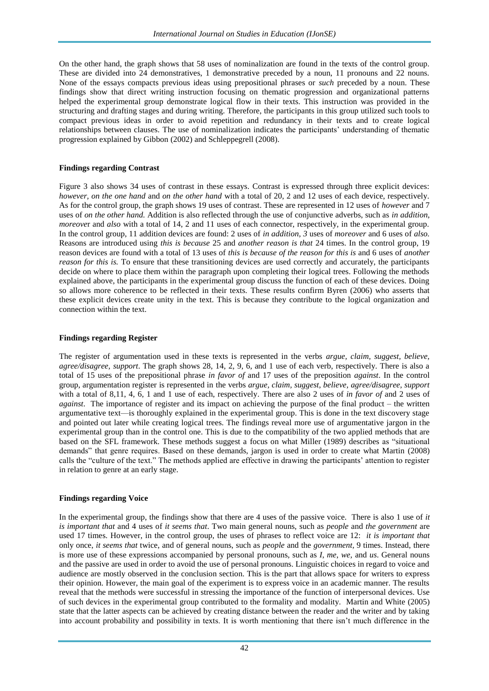On the other hand, the graph shows that 58 uses of nominalization are found in the texts of the control group. These are divided into 24 demonstratives, 1 demonstrative preceded by a noun, 11 pronouns and 22 nouns. None of the essays compacts previous ideas using prepositional phrases or *such* preceded by a noun. These findings show that direct writing instruction focusing on thematic progression and organizational patterns helped the experimental group demonstrate logical flow in their texts. This instruction was provided in the structuring and drafting stages and during writing. Therefore, the participants in this group utilized such tools to compact previous ideas in order to avoid repetition and redundancy in their texts and to create logical relationships between clauses. The use of nominalization indicates the participants' understanding of thematic progression explained by Gibbon (2002) and Schleppegrell (2008).

#### **Findings regarding Contrast**

Figure 3 also shows 34 uses of contrast in these essays. Contrast is expressed through three explicit devices: *however, on the one hand* and *on the other hand* with a total of 20, 2 and 12 uses of each device, respectively. As for the control group, the graph shows 19 uses of contrast. These are represented in 12 uses of *however* and 7 uses of *on the other hand.* Addition is also reflected through the use of conjunctive adverbs, such as *in addition*, *moreover* and *also* with a total of 14, 2 and 11 uses of each connector, respectively, in the experimental group. In the control group, 11 addition devices are found: 2 uses of *in addition*, *3* uses of *moreover* and 6 uses of *also.*  Reasons are introduced using *this is because* 25 and *another reason is that* 24 times. In the control group, 19 reason devices are found with a total of 13 uses of *this is because of the reason for this is* and 6 uses of *another reason for this is.* To ensure that these transitioning devices are used correctly and accurately, the participants decide on where to place them within the paragraph upon completing their logical trees. Following the methods explained above, the participants in the experimental group discuss the function of each of these devices. Doing so allows more coherence to be reflected in their texts. These results confirm Byren (2006) who asserts that these explicit devices create unity in the text. This is because they contribute to the logical organization and connection within the text.

#### **Findings regarding Register**

The register of argumentation used in these texts is represented in the verbs *argue, claim, suggest, believe, agree/disagree, support*. The graph shows 28, 14, 2, 9, 6, and 1 use of each verb, respectively. There is also a total of 15 uses of the prepositional phrase *in favor of* and 17 uses of the preposition *against*. In the control group, argumentation register is represented in the verbs *argue, claim, suggest, believe, agree/disagree, support*  with a total of 8,11, 4, 6, 1 and 1 use of each, respectively. There are also 2 uses of *in favor of* and 2 uses of *against*. The importance of register and its impact on achieving the purpose of the final product – the written argumentative text—is thoroughly explained in the experimental group. This is done in the text discovery stage and pointed out later while creating logical trees. The findings reveal more use of argumentative jargon in the experimental group than in the control one. This is due to the compatibility of the two applied methods that are based on the SFL framework. These methods suggest a focus on what Miller (1989) describes as "situational demands" that genre requires. Based on these demands, jargon is used in order to create what Martin (2008) calls the "culture of the text." The methods applied are effective in drawing the participants' attention to register in relation to genre at an early stage.

### **Findings regarding Voice**

In the experimental group, the findings show that there are 4 uses of the passive voice. There is also 1 use of *it is important that* and 4 uses of *it seems that*. Two main general nouns, such as *people* and *the government* are used 17 times. However, in the control group, the uses of phrases to reflect voice are 12: *it is important that* only once, *it seems that* twice, and of general nouns, such as *people* and the *government,* 9 times. Instead, there is more use of these expressions accompanied by personal pronouns, such as *I*, *me*, *we,* and *us*. General nouns and the passive are used in order to avoid the use of personal pronouns. Linguistic choices in regard to voice and audience are mostly observed in the conclusion section. This is the part that allows space for writers to express their opinion. However, the main goal of the experiment is to express voice in an academic manner. The results reveal that the methods were successful in stressing the importance of the function of interpersonal devices. Use of such devices in the experimental group contributed to the formality and modality. Martin and White (2005) state that the latter aspects can be achieved by creating distance between the reader and the writer and by taking into account probability and possibility in texts. It is worth mentioning that there isn't much difference in the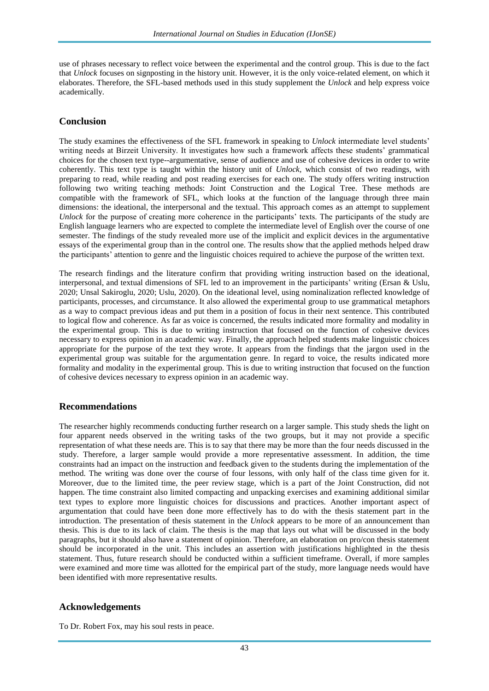use of phrases necessary to reflect voice between the experimental and the control group. This is due to the fact that *Unlock* focuses on signposting in the history unit. However, it is the only voice-related element, on which it elaborates. Therefore, the SFL-based methods used in this study supplement the *Unlock* and help express voice academically.

### **Conclusion**

The study examines the effectiveness of the SFL framework in speaking to *Unlock* intermediate level students' writing needs at Birzeit University. It investigates how such a framework affects these students' grammatical choices for the chosen text type--argumentative, sense of audience and use of cohesive devices in order to write coherently. This text type is taught within the history unit of *Unlock,* which consist of two readings, with preparing to read, while reading and post reading exercises for each one. The study offers writing instruction following two writing teaching methods: Joint Construction and the Logical Tree. These methods are compatible with the framework of SFL, which looks at the function of the language through three main dimensions: the ideational, the interpersonal and the textual. This approach comes as an attempt to supplement *Unlock* for the purpose of creating more coherence in the participants' texts. The participants of the study are English language learners who are expected to complete the intermediate level of English over the course of one semester. The findings of the study revealed more use of the implicit and explicit devices in the argumentative essays of the experimental group than in the control one. The results show that the applied methods helped draw the participants' attention to genre and the linguistic choices required to achieve the purpose of the written text.

The research findings and the literature confirm that providing writing instruction based on the ideational, interpersonal, and textual dimensions of SFL led to an improvement in the participants' writing (Ersan & Uslu, 2020; Unsal Sakiroglu, 2020; Uslu, 2020). On the ideational level, using nominalization reflected knowledge of participants, processes, and circumstance. It also allowed the experimental group to use grammatical metaphors as a way to compact previous ideas and put them in a position of focus in their next sentence. This contributed to logical flow and coherence. As far as voice is concerned, the results indicated more formality and modality in the experimental group. This is due to writing instruction that focused on the function of cohesive devices necessary to express opinion in an academic way. Finally, the approach helped students make linguistic choices appropriate for the purpose of the text they wrote. It appears from the findings that the jargon used in the experimental group was suitable for the argumentation genre. In regard to voice, the results indicated more formality and modality in the experimental group. This is due to writing instruction that focused on the function of cohesive devices necessary to express opinion in an academic way.

### **Recommendations**

The researcher highly recommends conducting further research on a larger sample. This study sheds the light on four apparent needs observed in the writing tasks of the two groups, but it may not provide a specific representation of what these needs are. This is to say that there may be more than the four needs discussed in the study. Therefore, a larger sample would provide a more representative assessment. In addition, the time constraints had an impact on the instruction and feedback given to the students during the implementation of the method. The writing was done over the course of four lessons, with only half of the class time given for it. Moreover, due to the limited time, the peer review stage, which is a part of the Joint Construction, did not happen. The time constraint also limited compacting and unpacking exercises and examining additional similar text types to explore more linguistic choices for discussions and practices. Another important aspect of argumentation that could have been done more effectively has to do with the thesis statement part in the introduction. The presentation of thesis statement in the *Unlock* appears to be more of an announcement than thesis. This is due to its lack of claim. The thesis is the map that lays out what will be discussed in the body paragraphs, but it should also have a statement of opinion. Therefore, an elaboration on pro/con thesis statement should be incorporated in the unit. This includes an assertion with justifications highlighted in the thesis statement. Thus, future research should be conducted within a sufficient timeframe. Overall, if more samples were examined and more time was allotted for the empirical part of the study, more language needs would have been identified with more representative results.

### **Acknowledgements**

To Dr. Robert Fox, may his soul rests in peace.